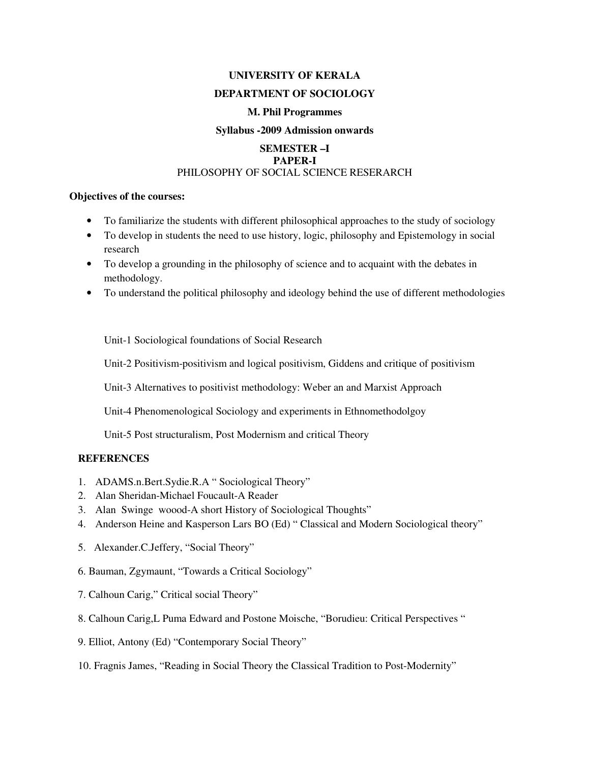### **UNIVERSITY OF KERALA**

#### **DEPARTMENT OF SOCIOLOGY**

#### **M. Phil Programmes**

#### **Syllabus -2009 Admission onwards**

## **SEMESTER –I PAPER-I** PHILOSOPHY OF SOCIAL SCIENCE RESERARCH

## **Objectives of the courses:**

- To familiarize the students with different philosophical approaches to the study of sociology
- To develop in students the need to use history, logic, philosophy and Epistemology in social research
- To develop a grounding in the philosophy of science and to acquaint with the debates in methodology.
- To understand the political philosophy and ideology behind the use of different methodologies

Unit-1 Sociological foundations of Social Research

Unit-2 Positivism-positivism and logical positivism, Giddens and critique of positivism

Unit-3 Alternatives to positivist methodology: Weber an and Marxist Approach

Unit-4 Phenomenological Sociology and experiments in Ethnomethodolgoy

Unit-5 Post structuralism, Post Modernism and critical Theory

### **REFERENCES**

- 1. ADAMS.n.Bert.Sydie.R.A " Sociological Theory"
- 2. Alan Sheridan-Michael Foucault-A Reader
- 3. Alan Swinge woood-A short History of Sociological Thoughts"
- 4. Anderson Heine and Kasperson Lars BO (Ed) " Classical and Modern Sociological theory"
- 5. Alexander.C.Jeffery, "Social Theory"
- 6. Bauman, Zgymaunt, "Towards a Critical Sociology"
- 7. Calhoun Carig," Critical social Theory"
- 8. Calhoun Carig,L Puma Edward and Postone Moische, "Borudieu: Critical Perspectives "
- 9. Elliot, Antony (Ed) "Contemporary Social Theory"
- 10. Fragnis James, "Reading in Social Theory the Classical Tradition to Post-Modernity"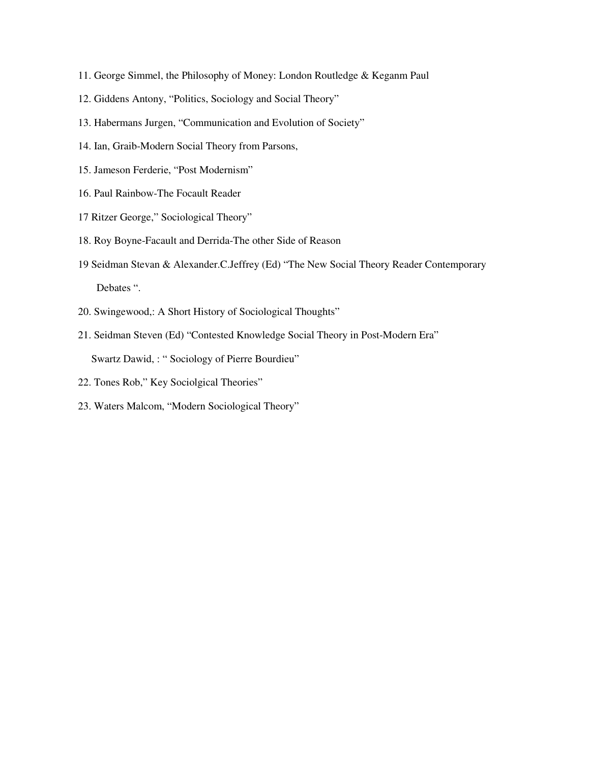- 11. George Simmel, the Philosophy of Money: London Routledge & Keganm Paul
- 12. Giddens Antony, "Politics, Sociology and Social Theory"
- 13. Habermans Jurgen, "Communication and Evolution of Society"
- 14. Ian, Graib-Modern Social Theory from Parsons,
- 15. Jameson Ferderie, "Post Modernism"
- 16. Paul Rainbow-The Focault Reader
- 17 Ritzer George," Sociological Theory"
- 18. Roy Boyne-Facault and Derrida-The other Side of Reason
- 19 Seidman Stevan & Alexander.C.Jeffrey (Ed) "The New Social Theory Reader Contemporary Debates ".
- 20. Swingewood,: A Short History of Sociological Thoughts"
- 21. Seidman Steven (Ed) "Contested Knowledge Social Theory in Post-Modern Era" Swartz Dawid, : " Sociology of Pierre Bourdieu"
- 22. Tones Rob," Key Sociolgical Theories"
- 23. Waters Malcom, "Modern Sociological Theory"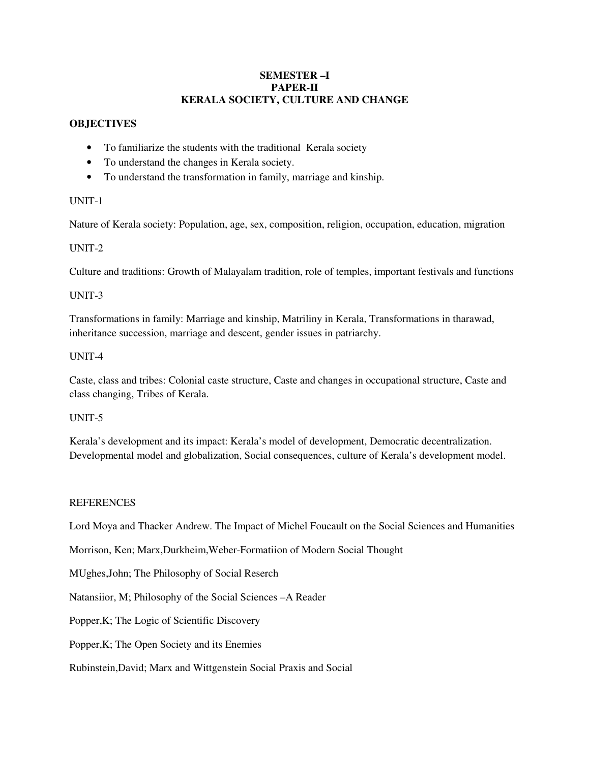### **SEMESTER –I PAPER-II KERALA SOCIETY, CULTURE AND CHANGE**

# **OBJECTIVES**

- To familiarize the students with the traditional Kerala society
- To understand the changes in Kerala society.
- To understand the transformation in family, marriage and kinship.

# UNIT-1

Nature of Kerala society: Population, age, sex, composition, religion, occupation, education, migration

## UNIT-2

Culture and traditions: Growth of Malayalam tradition, role of temples, important festivals and functions

### UNIT-3

Transformations in family: Marriage and kinship, Matriliny in Kerala, Transformations in tharawad, inheritance succession, marriage and descent, gender issues in patriarchy.

## UNIT-4

Caste, class and tribes: Colonial caste structure, Caste and changes in occupational structure, Caste and class changing, Tribes of Kerala.

UNIT-5

Kerala's development and its impact: Kerala's model of development, Democratic decentralization. Developmental model and globalization, Social consequences, culture of Kerala's development model.

# **REFERENCES**

Lord Moya and Thacker Andrew. The Impact of Michel Foucault on the Social Sciences and Humanities

Morrison, Ken; Marx,Durkheim,Weber-Formatiion of Modern Social Thought

MUghes,John; The Philosophy of Social Reserch

Natansiior, M; Philosophy of the Social Sciences –A Reader

Popper,K; The Logic of Scientific Discovery

Popper,K; The Open Society and its Enemies

Rubinstein,David; Marx and Wittgenstein Social Praxis and Social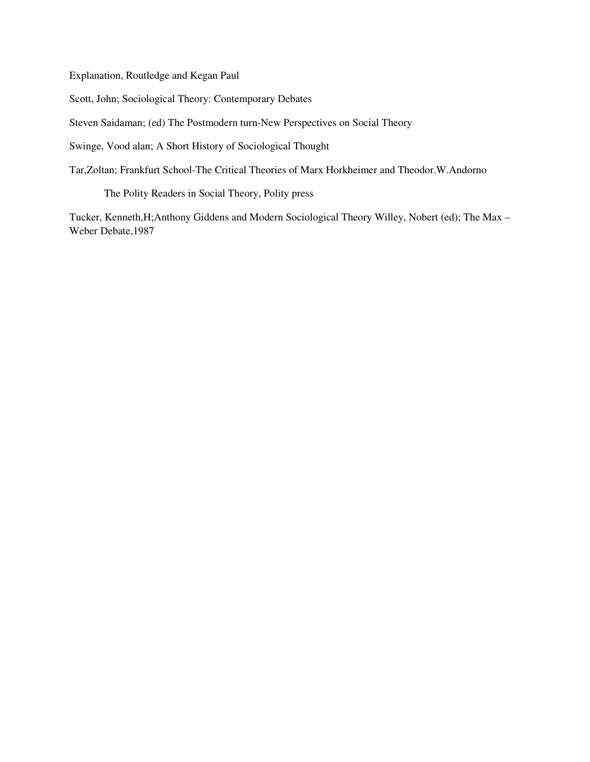Explanation, Routledge and Kegan Paul

Scott, John; Sociological Theory: Contemporary Debates

Steven Saidaman; (ed) The Postmodern turn-New Perspectives on Social Theory

Swinge, Vood alan; A Short History of Sociological Thought

Tar,Zoltan; Frankfurt School-The Critical Theories of Marx Horkheimer and Theodor.W.Andorno

The Polity Readers in Social Theory, Polity press

Tucker, Kenneth,H;Anthony Giddens and Modern Sociological Theory Willey, Nobert (ed); The Max – Weber Debate,1987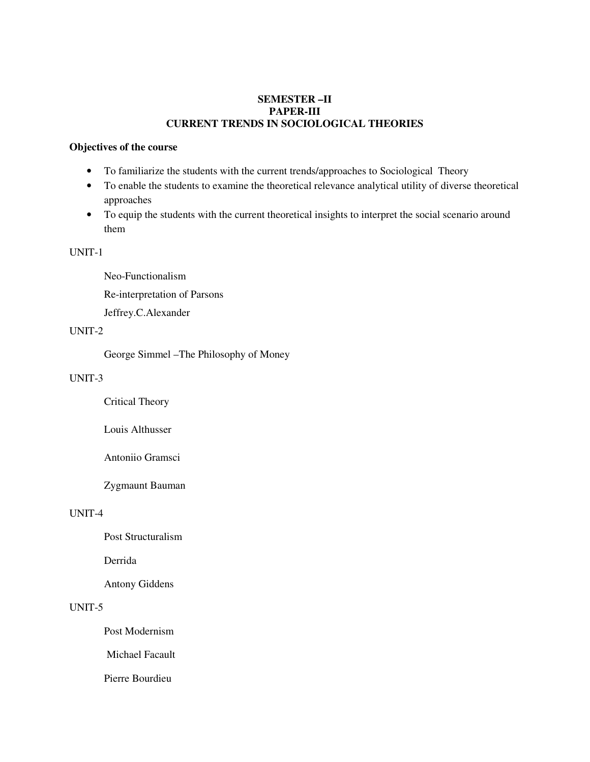## **SEMESTER –II PAPER-III CURRENT TRENDS IN SOCIOLOGICAL THEORIES**

#### **Objectives of the course**

- To familiarize the students with the current trends/approaches to Sociological Theory
- To enable the students to examine the theoretical relevance analytical utility of diverse theoretical approaches
- To equip the students with the current theoretical insights to interpret the social scenario around them

UNIT-1

Neo-Functionalism

Re-interpretation of Parsons

Jeffrey.C.Alexander

# UNIT-2

George Simmel –The Philosophy of Money

## UNIT-3

Critical Theory

Louis Althusser

Antoniio Gramsci

Zygmaunt Bauman

### UNIT-4

Post Structuralism

Derrida

Antony Giddens

### UNIT-5

Post Modernism

Michael Facault

Pierre Bourdieu